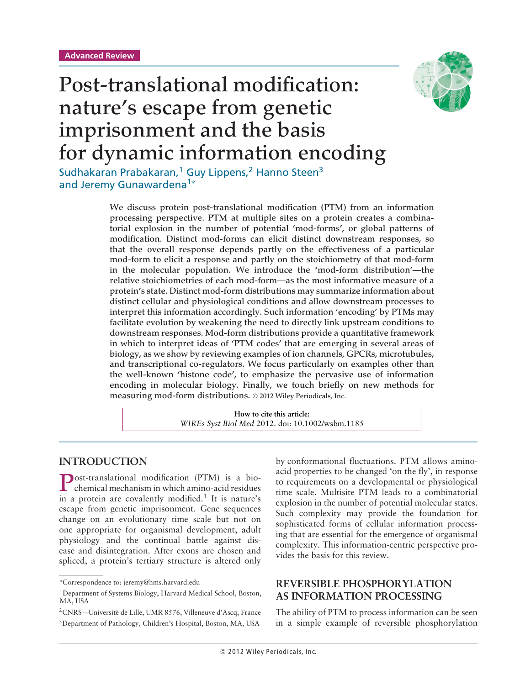

# **Post-translational modification: nature's escape from genetic imprisonment and the basis for dynamic information encoding**

Sudhakaran Prabakaran,<sup>1</sup> Guy Lippens,<sup>2</sup> Hanno Steen<sup>3</sup> and Jeremy Gunawardena<sup>1</sup>\*

> **We discuss protein post-translational modification (PTM) from an information processing perspective. PTM at multiple sites on a protein creates a combinatorial explosion in the number of potential 'mod-forms', or global patterns of modification. Distinct mod-forms can elicit distinct downstream responses, so that the overall response depends partly on the effectiveness of a particular mod-form to elicit a response and partly on the stoichiometry of that mod-form in the molecular population. We introduce the 'mod-form distribution'—the relative stoichiometries of each mod-form—as the most informative measure of a protein's state. Distinct mod-form distributions may summarize information about distinct cellular and physiological conditions and allow downstream processes to interpret this information accordingly. Such information 'encoding' by PTMs may facilitate evolution by weakening the need to directly link upstream conditions to downstream responses. Mod-form distributions provide a quantitative framework in which to interpret ideas of 'PTM codes' that are emerging in several areas of biology, as we show by reviewing examples of ion channels, GPCRs, microtubules, and transcriptional co-regulators. We focus particularly on examples other than the well-known 'histone code', to emphasize the pervasive use of information encoding in molecular biology. Finally, we touch briefly on new methods for measuring mod-form distributions.** © **2012 Wiley Periodicals, Inc.**

> > **How to cite this article:** *WIREs Syst Biol Med* 2012. doi: 10.1002/wsbm.1185

#### **INTRODUCTION**

**Post-translational modification (PTM) is a bio-**<br>
chemical mechanism in which amino-acid residues<br>
in a graphic area capabodo madified 1.1 to a graphic in a protein are covalently modified.<sup>1</sup> It is nature's escape from genetic imprisonment. Gene sequences change on an evolutionary time scale but not on one appropriate for organismal development, adult physiology and the continual battle against disease and disintegration. After exons are chosen and spliced, a protein's tertiary structure is altered only

by conformational fluctuations. PTM allows aminoacid properties to be changed 'on the fly', in response to requirements on a developmental or physiological time scale. Multisite PTM leads to a combinatorial explosion in the number of potential molecular states. Such complexity may provide the foundation for sophisticated forms of cellular information processing that are essential for the emergence of organismal complexity. This information-centric perspective provides the basis for this review.

## **REVERSIBLE PHOSPHORYLATION AS INFORMATION PROCESSING**

The ability of PTM to process information can be seen in a simple example of reversible phosphorylation

<sup>∗</sup>Correspondence to: jeremy@hms.harvard.edu

<sup>1</sup>Department of Systems Biology, Harvard Medical School, Boston, MA, USA

<sup>&</sup>lt;sup>2</sup>CNRS—Université de Lille, UMR 8576, Villeneuve d'Ascq, France

<sup>3</sup>Department of Pathology, Children's Hospital, Boston, MA, USA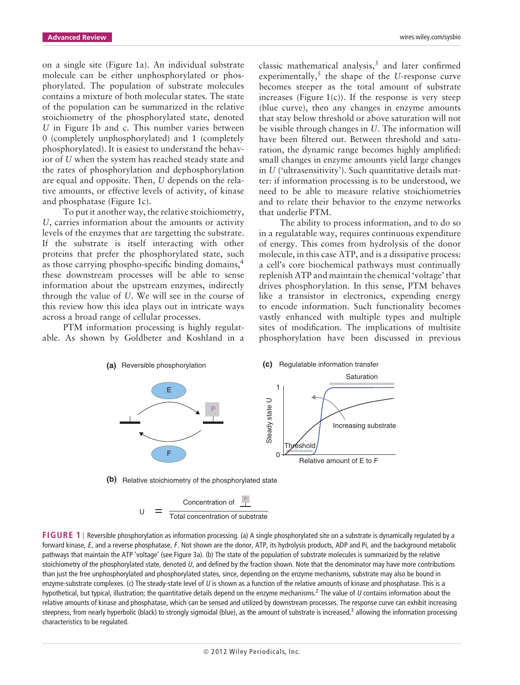on a single site (Figure 1a). An individual substrate molecule can be either unphosphorylated or phosphorylated. The population of substrate molecules contains a mixture of both molecular states. The state of the population can be summarized in the relative stoichiometry of the phosphorylated state, denoted *U* in Figure 1b and c. This number varies between 0 (completely unphosphorylated) and 1 (completely phosphorylated). It is easiest to understand the behavior of *U* when the system has reached steady state and the rates of phosphorylation and dephosphorylation are equal and opposite. Then, *U* depends on the relative amounts, or effective levels of activity, of kinase and phosphatase (Figure 1c).

To put it another way, the relative stoichiometry, *U*, carries information about the amounts or activity levels of the enzymes that are targetting the substrate. If the substrate is itself interacting with other proteins that prefer the phosphorylated state, such as those carrying phospho-specific binding domains,4 these downstream processes will be able to sense information about the upstream enzymes, indirectly through the value of *U*. We will see in the course of this review how this idea plays out in intricate ways across a broad range of cellular processes.

PTM information processing is highly regulatable. As shown by Goldbeter and Koshland in a classic mathematical analysis, $3$  and later confirmed experimentally,<sup>5</sup> the shape of the *U*-response curve becomes steeper as the total amount of substrate increases (Figure  $1(c)$ ). If the response is very steep (blue curve), then any changes in enzyme amounts that stay below threshold or above saturation will not be visible through changes in *U*. The information will have been filtered out. Between threshold and saturation, the dynamic range becomes highly amplified: small changes in enzyme amounts yield large changes in *U* ('ultrasensitivity'). Such quantitative details matter: if information processing is to be understood, we need to be able to measure relative stoichiometries and to relate their behavior to the enzyme networks that underlie PTM.

The ability to process information, and to do so in a regulatable way, requires continuous expenditure of energy. This comes from hydrolysis of the donor molecule, in this case ATP, and is a dissipative process: a cell's core biochemical pathways must continually replenish ATP and maintain the chemical 'voltage' that drives phosphorylation. In this sense, PTM behaves like a transistor in electronics, expending energy to encode information. Such functionality becomes vastly enhanced with multiple types and multiple sites of modification. The implications of multisite phosphorylation have been discussed in previous



(b) Relative stoichiometry of the phosphorylated state

Concentration of P

**FIGURE 1** | Reversible phosphorylation as information processing. (a) A single phosphorylated site on a substrate is dynamically regulated by a forward kinase, <sup>E</sup>, and a reverse phosphatase, <sup>F</sup>. Not shown are the donor, ATP, its hydrolysis products, ADP and Pi, and the background metabolic pathways that maintain the ATP 'voltage' (see Figure 3a). (b) The state of the population of substrate molecules is summarized by the relative stoichiometry of the phosphorylated state, denoted U, and defined by the fraction shown. Note that the denominator may have more contributions than just the free unphosphorylated and phosphorylated states, since, depending on the enzyme mechanisms, substrate may also be bound in enzyme-substrate complexes. (c) The steady-state level of U is shown as a function of the relative amounts of kinase and phosphatase. This is a hypothetical, but typical, illustration; the quantitative details depend on the enzyme mechanisms.<sup>2</sup> The value of U contains information about the relative amounts of kinase and phosphatase, which can be sensed and utilized by downstream processes. The response curve can exhibit increasing steepness, from nearly hyperbolic (black) to strongly sigmoidal (blue), as the amount of substrate is increased, $3$  allowing the information processing characteristics to be regulated.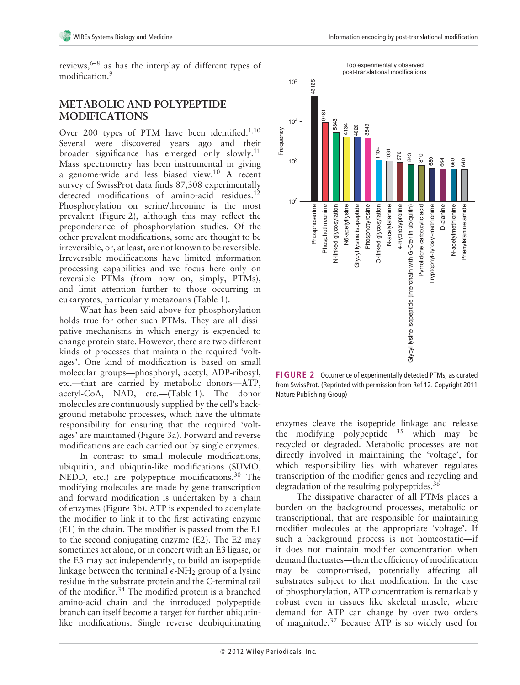reviews,  $6-8$  as has the interplay of different types of modification.<sup>9</sup>

# **METABOLIC AND POLYPEPTIDE MODIFICATIONS**

Over 200 types of PTM have been identified.<sup>1,10</sup> Several were discovered years ago and their broader significance has emerged only slowly.<sup>11</sup> Mass spectrometry has been instrumental in giving a genome-wide and less biased view.<sup>10</sup> A recent survey of SwissProt data finds 87,308 experimentally detected modifications of amino-acid residues.<sup>12</sup> Phosphorylation on serine/threonine is the most prevalent (Figure 2), although this may reflect the preponderance of phosphorylation studies. Of the other prevalent modifications, some are thought to be irreversible, or, at least, are not known to be reversible. Irreversible modifications have limited information processing capabilities and we focus here only on reversible PTMs (from now on, simply, PTMs), and limit attention further to those occurring in eukaryotes, particularly metazoans (Table 1).

What has been said above for phosphorylation holds true for other such PTMs. They are all dissipative mechanisms in which energy is expended to change protein state. However, there are two different kinds of processes that maintain the required 'voltages'. One kind of modification is based on small molecular groups—phosphoryl, acetyl, ADP-ribosyl, etc.—that are carried by metabolic donors—ATP, acetyl-CoA, NAD, etc.—(Table 1). The donor molecules are continuously supplied by the cell's background metabolic processes, which have the ultimate responsibility for ensuring that the required 'voltages' are maintained (Figure 3a). Forward and reverse modifications are each carried out by single enzymes.

In contrast to small molecule modifications, ubiquitin, and ubiqutin-like modifications (SUMO, NEDD, etc.) are polypeptide modifications.<sup>30</sup> The modifying molecules are made by gene transcription and forward modification is undertaken by a chain of enzymes (Figure 3b). ATP is expended to adenylate the modifier to link it to the first activating enzyme (E1) in the chain. The modifier is passed from the E1 to the second conjugating enzyme (E2). The E2 may sometimes act alone, or in concert with an E3 ligase, or the E3 may act independently, to build an isopeptide linkage between the terminal *-*-NH2 group of a lysine residue in the substrate protein and the C-terminal tail of the modifier.<sup>34</sup> The modified protein is a branched amino-acid chain and the introduced polypeptide branch can itself become a target for further ubiqutinlike modifications. Single reverse deubiquitinating



**FIGURE 2** | Occurrence of experimentally detected PTMs, as curated from SwissProt. (Reprinted with permission from Ref 12. Copyright 2011 Nature Publishing Group)

enzymes cleave the isopeptide linkage and release the modifying polypeptide  $35$  which may be recycled or degraded. Metabolic processes are not directly involved in maintaining the 'voltage', for which responsibility lies with whatever regulates transcription of the modifier genes and recycling and degradation of the resulting polypeptides.36

The dissipative character of all PTMs places a burden on the background processes, metabolic or transcriptional, that are responsible for maintaining modifier molecules at the appropriate 'voltage'. If such a background process is not homeostatic—if it does not maintain modifier concentration when demand fluctuates—then the efficiency of modification may be compromised, potentially affecting all substrates subject to that modification. In the case of phosphorylation, ATP concentration is remarkably robust even in tissues like skeletal muscle, where demand for ATP can change by over two orders of magnitude.37 Because ATP is so widely used for

Top experimentally observed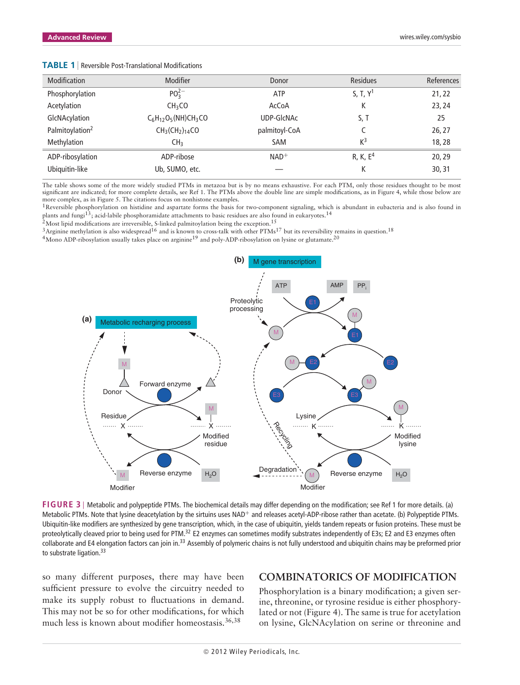| Modification                | Modifier                 | Donor         | <b>Residues</b>      | References |
|-----------------------------|--------------------------|---------------|----------------------|------------|
| Phosphorylation             | $PO_3^{2-}$              | <b>ATP</b>    | S, T, Y <sup>1</sup> | 21, 22     |
| Acetylation                 | CH <sub>3</sub> CO       | AcCoA         | K                    | 23, 24     |
| GlcNAcylation               | $C_6H_{12}O_5(NH)CH_3CO$ | UDP-GIcNAc    | S, T                 | 25         |
| Palmitoylation <sup>2</sup> | $CH3(CH2)14CO$           | palmitoyl-CoA |                      | 26, 27     |
| Methylation                 | CH <sub>3</sub>          | SAM           | $K^3$                | 18,28      |
| ADP-ribosylation            | ADP-ribose               | $NAD+$        | R, K, $E^4$          | 20,29      |
| Ubiquitin-like              | Ub, SUMO, etc.           |               | K                    | 30, 31     |

#### **TABLE 1** Reversible Post-Translational Modifications

The table shows some of the more widely studied PTMs in metazoa but is by no means exhaustive. For each PTM, only those residues thought to be most significant are indicated; for more complete details, see Ref 1. The PTMs above the double line are simple modifications, as in Figure 4, while those below are more complex, as in Figure 5. The citations focus on nonhistone examples.

<sup>1</sup>Reversible phosphorylation on histidine and aspartate forms the basis for two-component signaling, which is abundant in eubacteria and is also found in plants and fungi<sup>13</sup>; acid-labile phosphoramidate attachments to basic residues are also found in eukaryotes.<sup>14</sup>

 $2$ Most lipid modifications are irreversible, S-linked palmitoylation being the exception.<sup>15</sup>

 $3$ Arginine methylation is also widespread<sup>16</sup> and is known to cross-talk with other PTMs<sup>17</sup> but its reversibility remains in question.<sup>18</sup>

<sup>4</sup>Mono ADP-ribosylation usually takes place on arginine<sup>19</sup> and poly-ADP-ribosylation on lysine or glutamate.<sup>20</sup>



**FIGURE 3** | Metabolic and polypeptide PTMs. The biochemical details may differ depending on the modification; see Ref 1 for more details. (a) Metabolic PTMs. Note that lysine deacetylation by the sirtuins uses NAD<sup>+</sup> and releases acetyl-ADP-ribose rather than acetate. (b) Polypeptide PTMs. Ubiquitin-like modifiers are synthesized by gene transcription, which, in the case of ubiquitin, yields tandem repeats or fusion proteins. These must be proteolytically cleaved prior to being used for PTM.<sup>32</sup> E2 enzymes can sometimes modify substrates independently of E3s; E2 and E3 enzymes often collaborate and E4 elongation factors can join in.<sup>33</sup> Assembly of polymeric chains is not fully understood and ubiquitin chains may be preformed prior to substrate ligation.<sup>33</sup>

so many different purposes, there may have been sufficient pressure to evolve the circuitry needed to make its supply robust to fluctuations in demand. This may not be so for other modifications, for which much less is known about modifier homeostasis.36,38

#### **COMBINATORICS OF MODIFICATION**

Phosphorylation is a binary modification; a given serine, threonine, or tyrosine residue is either phosphorylated or not (Figure 4). The same is true for acetylation on lysine, GlcNAcylation on serine or threonine and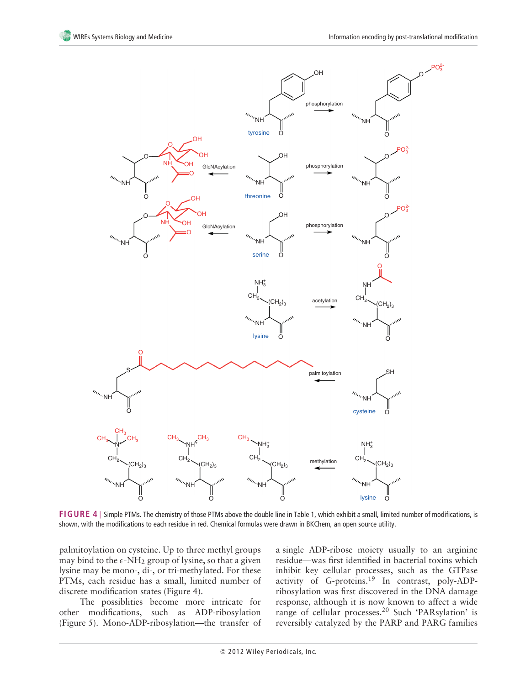

**FIGURE 4** | Simple PTMs. The chemistry of those PTMs above the double line in Table 1, which exhibit a small, limited number of modifications, is shown, with the modifications to each residue in red. Chemical formulas were drawn in BKChem, an open source utility.

palmitoylation on cysteine. Up to three methyl groups may bind to the  $\epsilon$ -NH<sub>2</sub> group of lysine, so that a given lysine may be mono-, di-, or tri-methylated. For these PTMs, each residue has a small, limited number of discrete modification states (Figure 4).

The possiblities become more intricate for other modifications, such as ADP-ribosylation (Figure 5). Mono-ADP-ribosylation—the transfer of

a single ADP-ribose moiety usually to an arginine residue—was first identified in bacterial toxins which inhibit key cellular processes, such as the GTPase activity of G-proteins.19 In contrast, poly-ADPribosylation was first discovered in the DNA damage response, although it is now known to affect a wide range of cellular processes.20 Such 'PARsylation' is reversibly catalyzed by the PARP and PARG families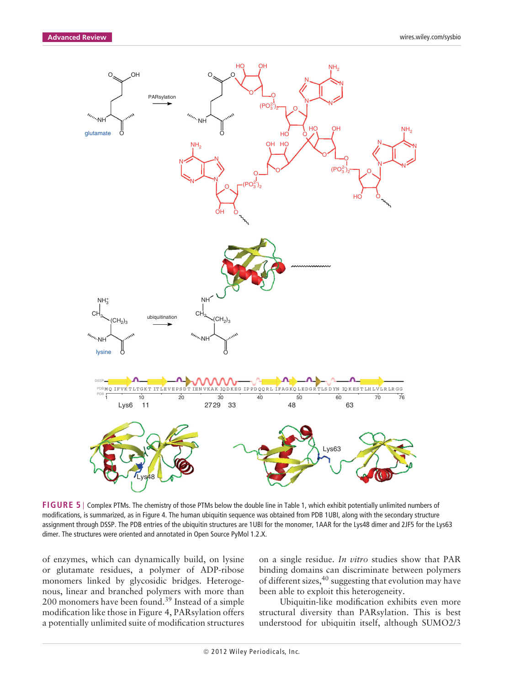

**FIGURE 5** | Complex PTMs. The chemistry of those PTMs below the double line in Table 1, which exhibit potentially unlimited numbers of modifications, is summarized, as in Figure 4. The human ubiquitin sequence was obtained from PDB 1UBI, along with the secondary structure assignment through DSSP. The PDB entries of the ubiquitin structures are 1UBI for the monomer, 1AAR for the Lys48 dimer and 2JF5 for the Lys63 dimer. The structures were oriented and annotated in Open Source PyMol 1.2.X.

of enzymes, which can dynamically build, on lysine or glutamate residues, a polymer of ADP-ribose monomers linked by glycosidic bridges. Heterogenous, linear and branched polymers with more than 200 monomers have been found.<sup>39</sup> Instead of a simple modification like those in Figure 4, PARsylation offers a potentially unlimited suite of modification structures

on a single residue. *In vitro* studies show that PAR binding domains can discriminate between polymers of different sizes,<sup>40</sup> suggesting that evolution may have been able to exploit this heterogeneity.

Ubiquitin-like modification exhibits even more structural diversity than PARsylation. This is best understood for ubiquitin itself, although SUMO2/3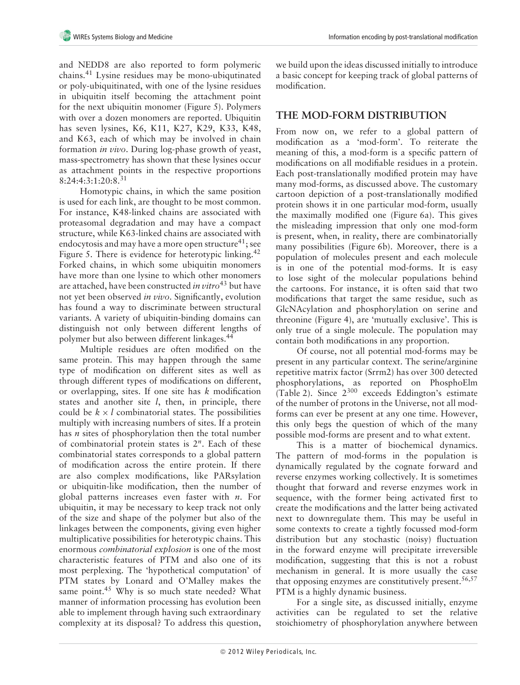and NEDD8 are also reported to form polymeric chains.41 Lysine residues may be mono-ubiqutinated or poly-ubiquitinated, with one of the lysine residues in ubiquitin itself becoming the attachment point for the next ubiquitin monomer (Figure 5). Polymers with over a dozen monomers are reported. Ubiquitin has seven lysines, K6, K11, K27, K29, K33, K48, and K63, each of which may be involved in chain formation *in vivo*. During log-phase growth of yeast, mass-spectrometry has shown that these lysines occur as attachment points in the respective proportions 8:24:4:3:1:20:8.<sup>31</sup>

Homotypic chains, in which the same position is used for each link, are thought to be most common. For instance, K48-linked chains are associated with proteasomal degradation and may have a compact structure, while K63-linked chains are associated with endocytosis and may have a more open structure<sup>41</sup>; see Figure 5. There is evidence for heterotypic linking.<sup>42</sup> Forked chains, in which some ubiquitin monomers have more than one lysine to which other monomers are attached, have been constructed *in vitro*<sup>43</sup> but have not yet been observed *in vivo*. Significantly, evolution has found a way to discriminate between structural variants. A variety of ubiquitin-binding domains can distinguish not only between different lengths of polymer but also between different linkages.<sup>44</sup>

Multiple residues are often modified on the same protein. This may happen through the same type of modification on different sites as well as through different types of modifications on different, or overlapping, sites. If one site has *k* modification states and another site *l*, then, in principle, there could be  $k \times l$  combinatorial states. The possibilities multiply with increasing numbers of sites. If a protein has *n* sites of phosphorylation then the total number of combinatorial protein states is 2*n*. Each of these combinatorial states corresponds to a global pattern of modification across the entire protein. If there are also complex modifications, like PARsylation or ubiquitin-like modification, then the number of global patterns increases even faster with *n*. For ubiquitin, it may be necessary to keep track not only of the size and shape of the polymer but also of the linkages between the components, giving even higher multiplicative possibilities for heterotypic chains. This enormous *combinatorial explosion* is one of the most characteristic features of PTM and also one of its most perplexing. The 'hypothetical computation' of PTM states by Lonard and O'Malley makes the same point.<sup>45</sup> Why is so much state needed? What manner of information processing has evolution been able to implement through having such extraordinary complexity at its disposal? To address this question, we build upon the ideas discussed initially to introduce a basic concept for keeping track of global patterns of modification.

# **THE MOD-FORM DISTRIBUTION**

From now on, we refer to a global pattern of modification as a 'mod-form'. To reiterate the meaning of this, a mod-form is a specific pattern of modifications on all modifiable residues in a protein. Each post-translationally modified protein may have many mod-forms, as discussed above. The customary cartoon depiction of a post-translationally modified protein shows it in one particular mod-form, usually the maximally modified one (Figure 6a). This gives the misleading impression that only one mod-form is present, when, in reality, there are combinatorially many possibilities (Figure 6b). Moreover, there is a population of molecules present and each molecule is in one of the potential mod-forms. It is easy to lose sight of the molecular populations behind the cartoons. For instance, it is often said that two modifications that target the same residue, such as GlcNAcylation and phosphorylation on serine and threonine (Figure 4), are 'mutually exclusive'. This is only true of a single molecule. The population may contain both modifications in any proportion.

Of course, not all potential mod-forms may be present in any particular context. The serine/arginine repetitive matrix factor (Srrm2) has over 300 detected phosphorylations, as reported on PhosphoElm (Table 2). Since  $2^{300}$  exceeds Eddington's estimate of the number of protons in the Universe, not all modforms can ever be present at any one time. However, this only begs the question of which of the many possible mod-forms are present and to what extent.

This is a matter of biochemical dynamics. The pattern of mod-forms in the population is dynamically regulated by the cognate forward and reverse enzymes working collectively. It is sometimes thought that forward and reverse enzymes work in sequence, with the former being activated first to create the modifications and the latter being activated next to downregulate them. This may be useful in some contexts to create a tightly focussed mod-form distribution but any stochastic (noisy) fluctuation in the forward enzyme will precipitate irreversible modification, suggesting that this is not a robust mechanism in general. It is more usually the case that opposing enzymes are constitutively present.  $56,57$ PTM is a highly dynamic business.

For a single site, as discussed initially, enzyme activities can be regulated to set the relative stoichiometry of phosphorylation anywhere between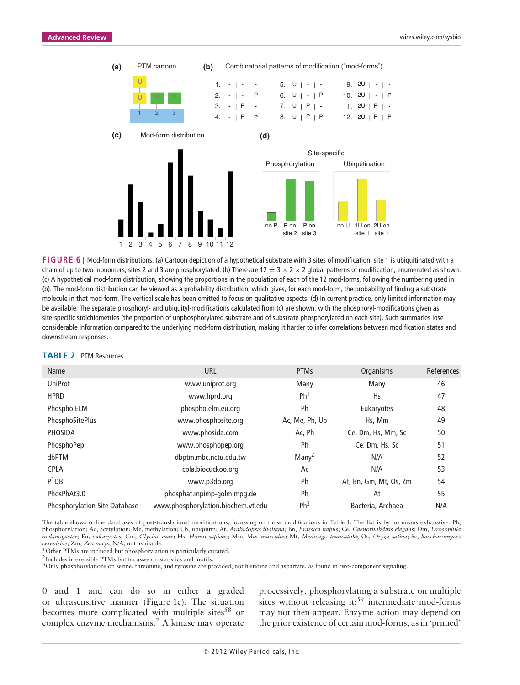

**FIGURE 6** | Mod-form distributions. (a) Cartoon depiction of a hypothetical substrate with 3 sites of modification; site 1 is ubiquitinated with a chain of up to two monomers; sites 2 and 3 are phosphorylated. (b) There are  $12 = 3 \times 2 \times 2$  global patterns of modification, enumerated as shown. (c) A hypothetical mod-form distribution, showing the proportions in the population of each of the 12 mod-forms, following the numbering used in (b). The mod-form distribution can be viewed as a probability distribution, which gives, for each mod-form, the probability of finding a substrate molecule in that mod-form. The vertical scale has been omitted to focus on qualitative aspects. (d) In current practice, only limited information may be available. The separate phosphoryl- and ubiquityl-modifications calculated from (c) are shown, with the phosphoryl-modifications given as site-specific stoichiometries (the proportion of unphosphorylated substrate and of substrate phosphorylated on each site). Such summaries lose considerable information compared to the underlying mod-form distribution, making it harder to infer correlations between modification states and downstream responses.

#### **TABLE 2** PTM Resources

| Name                                 | <b>URL</b>                         | <b>PTMs</b>     | Organisms              | References |
|--------------------------------------|------------------------------------|-----------------|------------------------|------------|
| <b>UniProt</b>                       | www.uniprot.org                    | Many            | Many                   | 46         |
| <b>HPRD</b>                          | www.hprd.org                       | Ph <sup>1</sup> | <b>Hs</b>              | 47         |
| Phospho.ELM                          | phospho.elm.eu.org                 | Ph              | Eukaryotes             | 48         |
| PhosphoSitePlus                      | www.phosphosite.org                | Ac, Me, Ph, Ub  | Hs, Mm                 | 49         |
| PHOSIDA                              | www.phosida.com                    | Ac, Ph          | Ce, Dm, Hs, Mm, Sc     | 50         |
| PhosphoPep                           | www.phosphopep.org                 | Ph              | Ce. Dm. Hs. Sc         | 51         |
| dbPTM                                | dbptm.mbc.nctu.edu.tw              | $Many^2$        | N/A                    | 52         |
| <b>CPLA</b>                          | cpla.biocuckoo.org                 | Ac              | N/A                    | 53         |
| $P^3DB$                              | www.p3db.org                       | Ph              | At, Bn, Gm, Mt, Os, Zm | 54         |
| PhosPhAt3.0                          | phosphat.mpimp-golm.mpg.de         | Ph              | At                     | 55         |
| <b>Phosphorylation Site Database</b> | www.phosphorylation.biochem.vt.edu | Ph <sup>3</sup> | Bacteria, Archaea      | N/A        |

The table shows online databases of post-translational modifications, focussing on those modifications in Table 1. The list is by no means exhaustive. Ph, phosphorylation; Ac, acetylation; Me, methylation; Ub, ubiquitin; At, *Arabidopsis thaliana*; Bn, *Brassica napus*; Ce, *Caenorhabditis elegans*; Dm, *Drosophila melanogaster*; Eu, *eukaryotes*; Gm, *Glycine max*; Hs, *Homo sapiens*; Mm, *Mus musculus*; Mt, *Medicago truncatula*; Os, *Oryza sativa*; Sc, *Saccharomyces cerevisiae*; Zm, *Zea mays*; N/A, not available.

1Other PTMs are included but phosphorylation is particularly curated.

2Includes irreversible PTMs but focusses on statistics and motifs.

 $3$ Only phosphorylations on serine, threonine, and tyrosine are provided, not histidine and aspartate, as found in two-component signaling.

0 and 1 and can do so in either a graded or ultrasensitive manner (Figure 1c). The situation becomes more complicated with multiple sites<sup>58</sup> or complex enzyme mechanisms.2 A kinase may operate processively, phosphorylating a substrate on multiple sites without releasing it; $59$  intermediate mod-forms may not then appear. Enzyme action may depend on the prior existence of certain mod-forms, as in 'primed'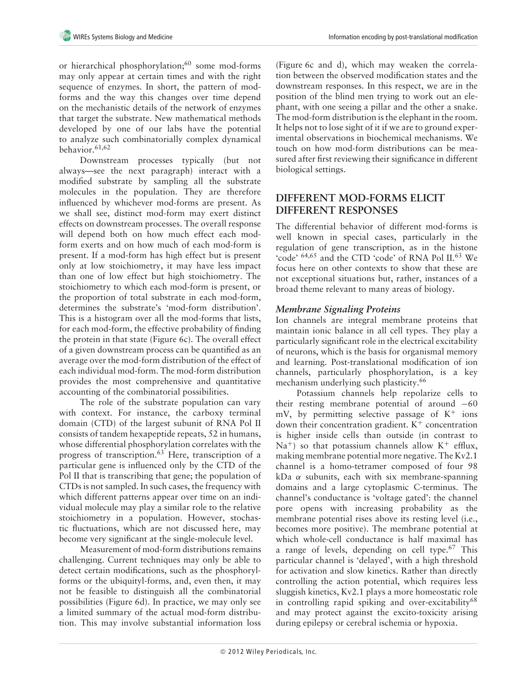or hierarchical phosphorylation;<sup>60</sup> some mod-forms may only appear at certain times and with the right sequence of enzymes. In short, the pattern of modforms and the way this changes over time depend on the mechanistic details of the network of enzymes that target the substrate. New mathematical methods developed by one of our labs have the potential to analyze such combinatorially complex dynamical behavior.61,62

Downstream processes typically (but not always—see the next paragraph) interact with a modified substrate by sampling all the substrate molecules in the population. They are therefore influenced by whichever mod-forms are present. As we shall see, distinct mod-form may exert distinct effects on downstream processes. The overall response will depend both on how much effect each modform exerts and on how much of each mod-form is present. If a mod-form has high effect but is present only at low stoichiometry, it may have less impact than one of low effect but high stoichiometry. The stoichiometry to which each mod-form is present, or the proportion of total substrate in each mod-form, determines the substrate's 'mod-form distribution'. This is a histogram over all the mod-forms that lists, for each mod-form, the effective probability of finding the protein in that state (Figure 6c). The overall effect of a given downstream process can be quantified as an average over the mod-form distribution of the effect of each individual mod-form. The mod-form distribution provides the most comprehensive and quantitative accounting of the combinatorial possibilities.

The role of the substrate population can vary with context. For instance, the carboxy terminal domain (CTD) of the largest subunit of RNA Pol II consists of tandem hexapeptide repeats, 52 in humans, whose differential phosphorylation correlates with the progress of transcription.<sup>63</sup> Here, transcription of a particular gene is influenced only by the CTD of the Pol II that is transcribing that gene; the population of CTDs is not sampled. In such cases, the frequency with which different patterns appear over time on an individual molecule may play a similar role to the relative stoichiometry in a population. However, stochastic fluctuations, which are not discussed here, may become very significant at the single-molecule level.

Measurement of mod-form distributions remains challenging. Current techniques may only be able to detect certain modifications, such as the phosphorylforms or the ubiquityl-forms, and, even then, it may not be feasible to distinguish all the combinatorial possibilities (Figure 6d). In practice, we may only see a limited summary of the actual mod-form distribution. This may involve substantial information loss (Figure 6c and d), which may weaken the correlation between the observed modification states and the downstream responses. In this respect, we are in the position of the blind men trying to work out an elephant, with one seeing a pillar and the other a snake. The mod-form distribution is the elephant in the room. It helps not to lose sight of it if we are to ground experimental observations in biochemical mechanisms. We touch on how mod-form distributions can be measured after first reviewing their significance in different biological settings.

# **DIFFERENT MOD-FORMS ELICIT DIFFERENT RESPONSES**

The differential behavior of different mod-forms is well known in special cases, particularly in the regulation of gene transcription, as in the histone 'code' <sup>64,65</sup> and the CTD 'code' of RNA Pol II.<sup>63</sup> We focus here on other contexts to show that these are not exceptional situations but, rather, instances of a broad theme relevant to many areas of biology.

# *Membrane Signaling Proteins*

Ion channels are integral membrane proteins that maintain ionic balance in all cell types. They play a particularly significant role in the electrical excitability of neurons, which is the basis for organismal memory and learning. Post-translational modification of ion channels, particularly phosphorylation, is a key mechanism underlying such plasticity.<sup>66</sup>

Potassium channels help repolarize cells to their resting membrane potential of around −60 mV, by permitting selective passage of  $K^+$  ions down their concentration gradient.  $K^+$  concentration is higher inside cells than outside (in contrast to  $Na^{+}$ ) so that potassium channels allow  $K^{+}$  efflux, making membrane potential more negative. The Kv2.1 channel is a homo-tetramer composed of four 98 kDa *α* subunits, each with six membrane-spanning domains and a large cytoplasmic C-terminus. The channel's conductance is 'voltage gated': the channel pore opens with increasing probability as the membrane potential rises above its resting level (i.e., becomes more positive). The membrane potential at which whole-cell conductance is half maximal has a range of levels, depending on cell type.67 This particular channel is 'delayed', with a high threshold for activation and slow kinetics. Rather than directly controlling the action potential, which requires less sluggish kinetics, Kv2.1 plays a more homeostatic role in controlling rapid spiking and over-excitability<sup>68</sup> and may protect against the excito-toxicity arising during epilepsy or cerebral ischemia or hypoxia.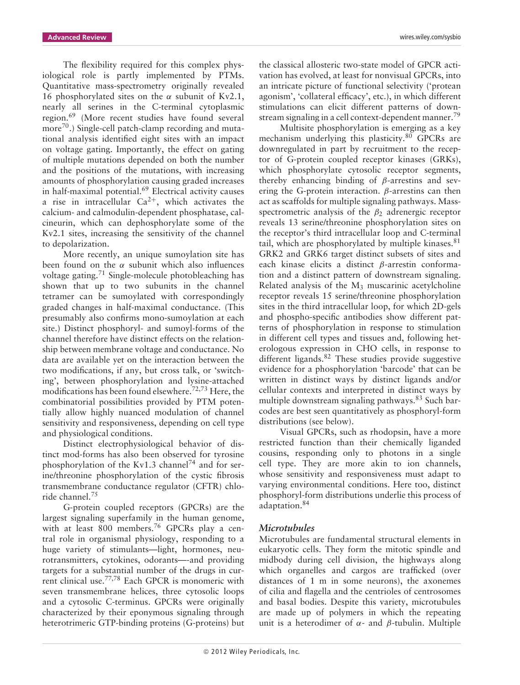The flexibility required for this complex physiological role is partly implemented by PTMs. Quantitative mass-spectrometry originally revealed 16 phosphorylated sites on the *α* subunit of Kv2.1, nearly all serines in the C-terminal cytoplasmic region.69 (More recent studies have found several more<sup>70</sup>.) Single-cell patch-clamp recording and mutational analysis identified eight sites with an impact on voltage gating. Importantly, the effect on gating of multiple mutations depended on both the number and the positions of the mutations, with increasing amounts of phosphorylation causing graded increases in half-maximal potential.69 Electrical activity causes a rise in intracellular  $Ca^{2+}$ , which activates the calcium- and calmodulin-dependent phosphatase, calcineurin, which can dephosphorylate some of the Kv2.1 sites, increasing the sensitivity of the channel to depolarization.

More recently, an unique sumoylation site has been found on the  $\alpha$  subunit which also influences voltage gating.71 Single-molecule photobleaching has shown that up to two subunits in the channel tetramer can be sumoylated with correspondingly graded changes in half-maximal conductance. (This presumably also confirms mono-sumoylation at each site.) Distinct phosphoryl- and sumoyl-forms of the channel therefore have distinct effects on the relationship between membrane voltage and conductance. No data are available yet on the interaction between the two modifications, if any, but cross talk, or 'switching', between phosphorylation and lysine-attached modifications has been found elsewhere.72,73 Here, the combinatorial possibilities provided by PTM potentially allow highly nuanced modulation of channel sensitivity and responsiveness, depending on cell type and physiological conditions.

Distinct electrophysiological behavior of distinct mod-forms has also been observed for tyrosine phosphorylation of the Kv1.3 channel<sup>74</sup> and for serine/threonine phosphorylation of the cystic fibrosis transmembrane conductance regulator (CFTR) chloride channel.75

G-protein coupled receptors (GPCRs) are the largest signaling superfamily in the human genome, with at least 800 members.<sup>76</sup> GPCRs play a central role in organismal physiology, responding to a huge variety of stimulants—light, hormones, neurotransmitters, cytokines, odorants—-and providing targets for a substantial number of the drugs in current clinical use.77,78 Each GPCR is monomeric with seven transmembrane helices, three cytosolic loops and a cytosolic C-terminus. GPCRs were originally characterized by their eponymous signaling through heterotrimeric GTP-binding proteins (G-proteins) but the classical allosteric two-state model of GPCR activation has evolved, at least for nonvisual GPCRs, into an intricate picture of functional selectivity ('protean agonism', 'collateral efficacy', etc.), in which different stimulations can elicit different patterns of downstream signaling in a cell context-dependent manner.<sup>79</sup>

Multisite phosphorylation is emerging as a key mechanism underlying this plasticity.<sup>80</sup> GPCRs are downregulated in part by recruitment to the receptor of G-protein coupled receptor kinases (GRKs), which phosphorylate cytosolic receptor segments, thereby enhancing binding of *β*-arrestins and severing the G-protein interaction. *β*-arrestins can then act as scaffolds for multiple signaling pathways. Massspectrometric analysis of the *β*<sup>2</sup> adrenergic receptor reveals 13 serine/threonine phosphorylation sites on the receptor's third intracellular loop and C-terminal tail, which are phosphorylated by multiple kinases. $81$ GRK2 and GRK6 target distinct subsets of sites and each kinase elicits a distinct *β*-arrestin conformation and a distinct pattern of downstream signaling. Related analysis of the  $M_3$  muscarinic acetylcholine receptor reveals 15 serine/threonine phosphorylation sites in the third intracellular loop, for which 2D-gels and phospho-specific antibodies show different patterns of phosphorylation in response to stimulation in different cell types and tissues and, following heterologous expression in CHO cells, in response to different ligands.<sup>82</sup> These studies provide suggestive evidence for a phosphorylation 'barcode' that can be written in distinct ways by distinct ligands and/or cellular contexts and interpreted in distinct ways by multiple downstream signaling pathways.<sup>83</sup> Such barcodes are best seen quantitatively as phosphoryl-form distributions (see below).

Visual GPCRs, such as rhodopsin, have a more restricted function than their chemically liganded cousins, responding only to photons in a single cell type. They are more akin to ion channels, whose sensitivity and responsiveness must adapt to varying environmental conditions. Here too, distinct phosphoryl-form distributions underlie this process of adaptation.84

#### *Microtubules*

Microtubules are fundamental structural elements in eukaryotic cells. They form the mitotic spindle and midbody during cell division, the highways along which organelles and cargos are trafficked (over distances of 1 m in some neurons), the axonemes of cilia and flagella and the centrioles of centrosomes and basal bodies. Despite this variety, microtubules are made up of polymers in which the repeating unit is a heterodimer of *α*- and *β*-tubulin. Multiple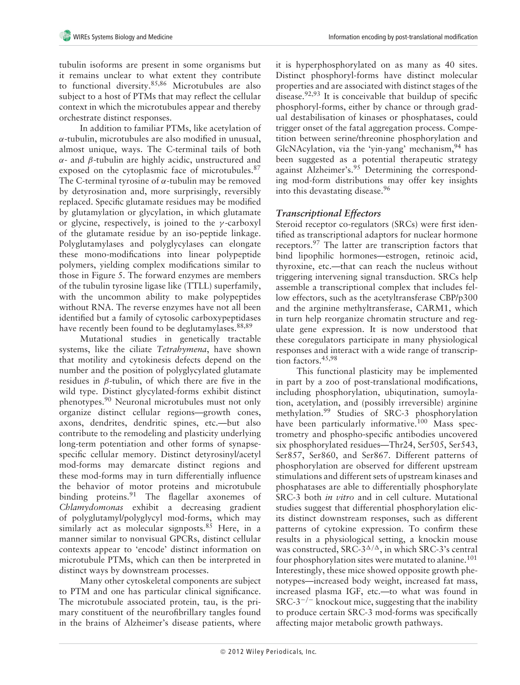tubulin isoforms are present in some organisms but it remains unclear to what extent they contribute to functional diversity.85,86 Microtubules are also subject to a host of PTMs that may reflect the cellular context in which the microtubules appear and thereby orchestrate distinct responses.

In addition to familiar PTMs, like acetylation of *α*-tubulin, microtubules are also modified in unusual, almost unique, ways. The C-terminal tails of both *α*- and *β*-tubulin are highly acidic, unstructured and exposed on the cytoplasmic face of microtubules.<sup>87</sup> The C-terminal tyrosine of *α*-tubulin may be removed by detyrosination and, more surprisingly, reversibly replaced. Specific glutamate residues may be modified by glutamylation or glycylation, in which glutamate or glycine, respectively, is joined to the *γ* -carboxyl of the glutamate residue by an iso-peptide linkage. Polyglutamylases and polyglycylases can elongate these mono-modifications into linear polypeptide polymers, yielding complex modifications similar to those in Figure 5. The forward enzymes are members of the tubulin tyrosine ligase like (TTLL) superfamily, with the uncommon ability to make polypeptides without RNA. The reverse enzymes have not all been identified but a family of cytosolic carboxypeptidases have recently been found to be deglutamylases.<sup>88,89</sup>

Mutational studies in genetically tractable systems, like the ciliate *Tetrahymena*, have shown that motility and cytokinesis defects depend on the number and the position of polyglycylated glutamate residues in *β*-tubulin, of which there are five in the wild type. Distinct glycylated-forms exhibit distinct phenotypes.<sup>90</sup> Neuronal microtubules must not only organize distinct cellular regions—growth cones, axons, dendrites, dendritic spines, etc.—but also contribute to the remodeling and plasticity underlying long-term potentiation and other forms of synapsespecific cellular memory. Distinct detyrosinyl/acetyl mod-forms may demarcate distinct regions and these mod-forms may in turn differentially influence the behavior of motor proteins and microtubule binding proteins.<sup>91</sup> The flagellar axonemes of *Chlamydomonas* exhibit a decreasing gradient of polyglutamyl/polyglycyl mod-forms, which may similarly act as molecular signposts. $85$  Here, in a manner similar to nonvisual GPCRs, distinct cellular contexts appear to 'encode' distinct information on microtubule PTMs, which can then be interpreted in distinct ways by downstream processes.

Many other cytoskeletal components are subject to PTM and one has particular clinical significance. The microtubule associated protein, tau, is the primary constituent of the neurofibrillary tangles found in the brains of Alzheimer's disease patients, where

it is hyperphosphorylated on as many as 40 sites. Distinct phosphoryl-forms have distinct molecular properties and are associated with distinct stages of the disease. $92,93$  It is conceivable that buildup of specific phosphoryl-forms, either by chance or through gradual destabilisation of kinases or phosphatases, could trigger onset of the fatal aggregation process. Competition between serine/threonine phosphorylation and GlcNAcylation, via the 'yin-yang' mechanism,  $94$  has been suggested as a potential therapeutic strategy against Alzheimer's.95 Determining the corresponding mod-form distributions may offer key insights into this devastating disease.<sup>96</sup>

## *Transcriptional Effectors*

Steroid receptor co-regulators (SRCs) were first identified as transcriptional adaptors for nuclear hormone receptors.<sup>97</sup> The latter are transcription factors that bind lipophilic hormones—estrogen, retinoic acid, thyroxine, etc.—that can reach the nucleus without triggering intervening signal transduction. SRCs help assemble a transcriptional complex that includes fellow effectors, such as the acetyltransferase CBP/p300 and the arginine methyltransferase, CARM1, which in turn help reorganize chromatin structure and regulate gene expression. It is now understood that these coregulators participate in many physiological responses and interact with a wide range of transcription factors.<sup>45,98</sup>

This functional plasticity may be implemented in part by a zoo of post-translational modifications, including phosphorylation, ubiqutination, sumoylation, acetylation, and (possibly irreversible) arginine methylation.99 Studies of SRC-3 phosphorylation have been particularly informative.<sup>100</sup> Mass spectrometry and phospho-specific antibodies uncovered six phosphorylated residues—Thr24, Ser505, Ser543, Ser857, Ser860, and Ser867. Different patterns of phosphorylation are observed for different upstream stimulations and different sets of upstream kinases and phosphatases are able to differentially phosphorylate SRC-3 both *in vitro* and in cell culture. Mutational studies suggest that differential phosphorylation elicits distinct downstream responses, such as different patterns of cytokine expression. To confirm these results in a physiological setting, a knockin mouse was constructed, SRC-3<sup> $\triangle$ / $\triangle$ , in which SRC-3's central</sup> four phosphorylation sites were mutated to alanine.<sup>101</sup> Interestingly, these mice showed opposite growth phenotypes—increased body weight, increased fat mass, increased plasma IGF, etc.—to what was found in SRC-3−*/*<sup>−</sup> knockout mice, suggesting that the inability to produce certain SRC-3 mod-forms was specifically affecting major metabolic growth pathways.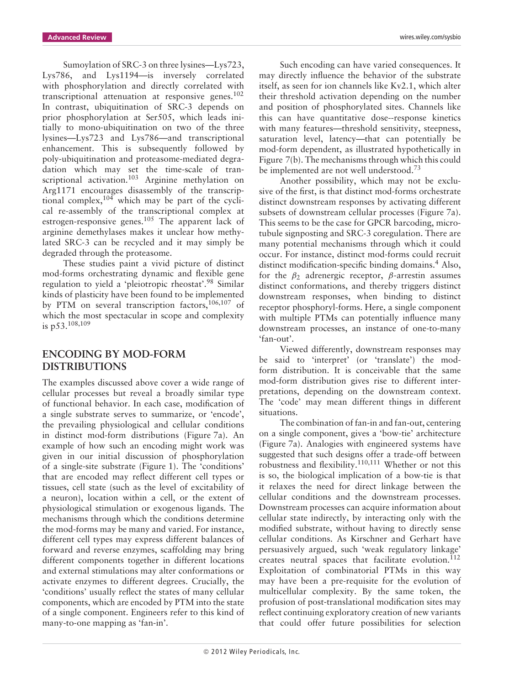Sumoylation of SRC-3 on three lysines—Lys723, Lys786, and Lys1194—is inversely correlated with phosphorylation and directly correlated with transcriptional attenuation at responsive genes.<sup>102</sup> In contrast, ubiquitination of SRC-3 depends on prior phosphorylation at Ser505, which leads initially to mono-ubiquitination on two of the three lysines—Lys723 and Lys786—and transcriptional enhancement. This is subsequently followed by poly-ubiquitination and proteasome-mediated degradation which may set the time-scale of transcriptional activation.<sup>103</sup> Arginine methylation on Arg1171 encourages disassembly of the transcriptional complex,  $104$  which may be part of the cyclical re-assembly of the transcriptional complex at estrogen-responsive genes.105 The apparent lack of arginine demethylases makes it unclear how methylated SRC-3 can be recycled and it may simply be degraded through the proteasome.

These studies paint a vivid picture of distinct mod-forms orchestrating dynamic and flexible gene regulation to yield a 'pleiotropic rheostat'.98 Similar kinds of plasticity have been found to be implemented by PTM on several transcription factors, 106,107 of which the most spectacular in scope and complexity is p53.108,109

## **ENCODING BY MOD-FORM DISTRIBUTIONS**

The examples discussed above cover a wide range of cellular processes but reveal a broadly similar type of functional behavior. In each case, modification of a single substrate serves to summarize, or 'encode', the prevailing physiological and cellular conditions in distinct mod-form distributions (Figure 7a). An example of how such an encoding might work was given in our initial discussion of phosphorylation of a single-site substrate (Figure 1). The 'conditions' that are encoded may reflect different cell types or tissues, cell state (such as the level of excitability of a neuron), location within a cell, or the extent of physiological stimulation or exogenous ligands. The mechanisms through which the conditions determine the mod-forms may be many and varied. For instance, different cell types may express different balances of forward and reverse enzymes, scaffolding may bring different components together in different locations and external stimulations may alter conformations or activate enzymes to different degrees. Crucially, the 'conditions' usually reflect the states of many cellular components, which are encoded by PTM into the state of a single component. Engineers refer to this kind of many-to-one mapping as 'fan-in'.

Such encoding can have varied consequences. It may directly influence the behavior of the substrate itself, as seen for ion channels like Kv2.1, which alter their threshold activation depending on the number and position of phosphorylated sites. Channels like this can have quantitative dose--response kinetics with many features—threshold sensitivity, steepness, saturation level, latency—that can potentially be mod-form dependent, as illustrated hypothetically in Figure 7(b). The mechanisms through which this could be implemented are not well understood.<sup>73</sup>

Another possibility, which may not be exclusive of the first, is that distinct mod-forms orchestrate distinct downstream responses by activating different subsets of downstream cellular processes (Figure 7a). This seems to be the case for GPCR barcoding, microtubule signposting and SRC-3 coregulation. There are many potential mechanisms through which it could occur. For instance, distinct mod-forms could recruit distinct modification-specific binding domains. $4$  Also, for the  $\beta_2$  adrenergic receptor,  $\beta$ -arrestin assumes distinct conformations, and thereby triggers distinct downstream responses, when binding to distinct receptor phosphoryl-forms. Here, a single component with multiple PTMs can potentially influence many downstream processes, an instance of one-to-many 'fan-out'.

Viewed differently, downstream responses may be said to 'interpret' (or 'translate') the modform distribution. It is conceivable that the same mod-form distribution gives rise to different interpretations, depending on the downstream context. The 'code' may mean different things in different situations.

The combination of fan-in and fan-out, centering on a single component, gives a 'bow-tie' architecture (Figure 7a). Analogies with engineered systems have suggested that such designs offer a trade-off between robustness and flexibility.110,111 Whether or not this is so, the biological implication of a bow-tie is that it relaxes the need for direct linkage between the cellular conditions and the downstream processes. Downstream processes can acquire information about cellular state indirectly, by interacting only with the modified substrate, without having to directly sense cellular conditions. As Kirschner and Gerhart have persuasively argued, such 'weak regulatory linkage' creates neutral spaces that facilitate evolution.<sup>112</sup> Exploitation of combinatorial PTMs in this way may have been a pre-requisite for the evolution of multicellular complexity. By the same token, the profusion of post-translational modification sites may reflect continuing exploratory creation of new variants that could offer future possibilities for selection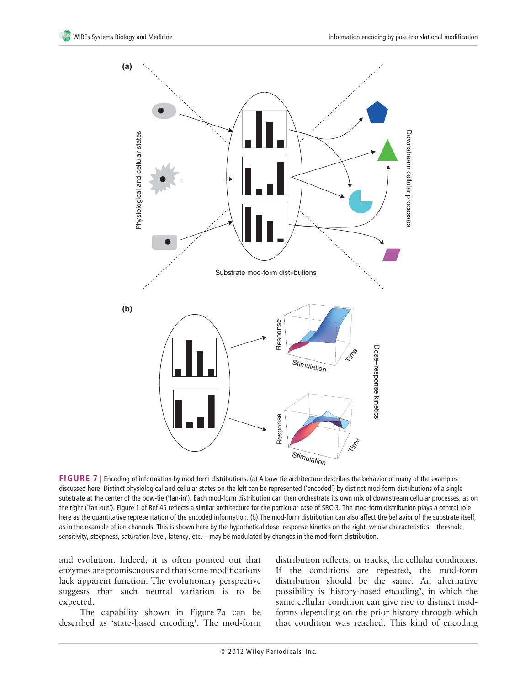

**FIGURE 7** | Encoding of information by mod-form distributions. (a) A bow-tie architecture describes the behavior of many of the examples discussed here. Distinct physiological and cellular states on the left can be represented ('encoded') by distinct mod-form distributions of a single substrate at the center of the bow-tie ('fan-in'). Each mod-form distribution can then orchestrate its own mix of downstream cellular processes, as on the right ('fan-out'). Figure 1 of Ref 45 reflects a similar architecture for the particular case of SRC-3. The mod-form distribution plays a central role here as the quantitative representation of the encoded information. (b) The mod-form distribution can also affect the behavior of the substrate itself, as in the example of ion channels. This is shown here by the hypothetical dose–response kinetics on the right, whose characteristics—threshold sensitivity, steepness, saturation level, latency, etc.—may be modulated by changes in the mod-form distribution.

and evolution. Indeed, it is often pointed out that enzymes are promiscuous and that some modifications lack apparent function. The evolutionary perspective suggests that such neutral variation is to be expected.

The capability shown in Figure 7a can be described as 'state-based encoding'. The mod-form distribution reflects, or tracks, the cellular conditions. If the conditions are repeated, the mod-form distribution should be the same. An alternative possibility is 'history-based encoding', in which the same cellular condition can give rise to distinct modforms depending on the prior history through which that condition was reached. This kind of encoding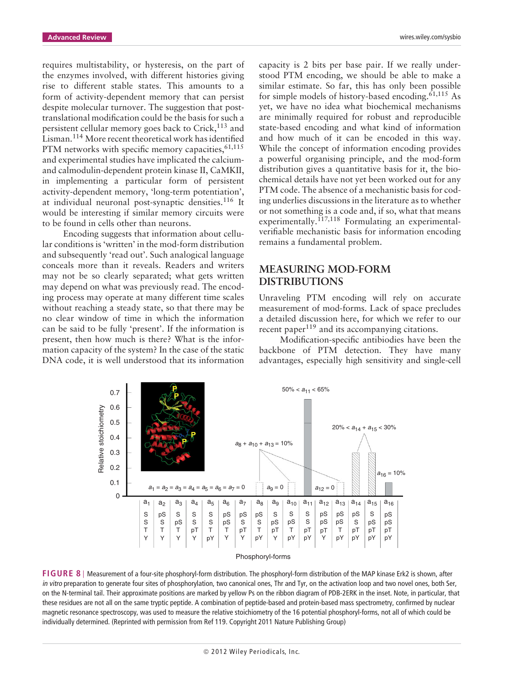requires multistability, or hysteresis, on the part of the enzymes involved, with different histories giving rise to different stable states. This amounts to a form of activity-dependent memory that can persist despite molecular turnover. The suggestion that posttranslational modification could be the basis for such a persistent cellular memory goes back to Crick, $^{113}$  and Lisman.114 More recent theoretical work has identified PTM networks with specific memory capacities,  $61,115$ and experimental studies have implicated the calciumand calmodulin-dependent protein kinase II, CaMKII, in implementing a particular form of persistent activity-dependent memory, 'long-term potentiation', at individual neuronal post-synaptic densities.116 It would be interesting if similar memory circuits were to be found in cells other than neurons.

Encoding suggests that information about cellular conditions is 'written' in the mod-form distribution and subsequently 'read out'. Such analogical language conceals more than it reveals. Readers and writers may not be so clearly separated; what gets written may depend on what was previously read. The encoding process may operate at many different time scales without reaching a steady state, so that there may be no clear window of time in which the information can be said to be fully 'present'. If the information is present, then how much is there? What is the information capacity of the system? In the case of the static DNA code, it is well understood that its information capacity is 2 bits per base pair. If we really understood PTM encoding, we should be able to make a similar estimate. So far, this has only been possible for simple models of history-based encoding. $61,115$  As yet, we have no idea what biochemical mechanisms are minimally required for robust and reproducible state-based encoding and what kind of information and how much of it can be encoded in this way. While the concept of information encoding provides a powerful organising principle, and the mod-form distribution gives a quantitative basis for it, the biochemical details have not yet been worked out for any PTM code. The absence of a mechanistic basis for coding underlies discussions in the literature as to whether or not something is a code and, if so, what that means experimentally.<sup>117,118</sup> Formulating an experimentalverifiable mechanistic basis for information encoding remains a fundamental problem.

## **MEASURING MOD-FORM DISTRIBUTIONS**

Unraveling PTM encoding will rely on accurate measurement of mod-forms. Lack of space precludes a detailed discussion here, for which we refer to our recent paper $119$  and its accompanying citations.

Modification-specific antibiodies have been the backbone of PTM detection. They have many advantages, especially high sensitivity and single-cell



**FIGURE 8** | Measurement of a four-site phosphoryl-form distribution. The phosphoryl-form distribution of the MAP kinase Erk2 is shown, after in vitro preparation to generate four sites of phosphorylation, two canonical ones, Thr and Tyr, on the activation loop and two novel ones, both Ser, on the N-terminal tail. Their approximate positions are marked by yellow Ps on the ribbon diagram of PDB-2ERK in the inset. Note, in particular, that these residues are not all on the same tryptic peptide. A combination of peptide-based and protein-based mass spectrometry, confirmed by nuclear magnetic resonance spectroscopy, was used to measure the relative stoichiometry of the 16 potential phosphoryl-forms, not all of which could be individually determined. (Reprinted with permission from Ref 119. Copyright 2011 Nature Publishing Group)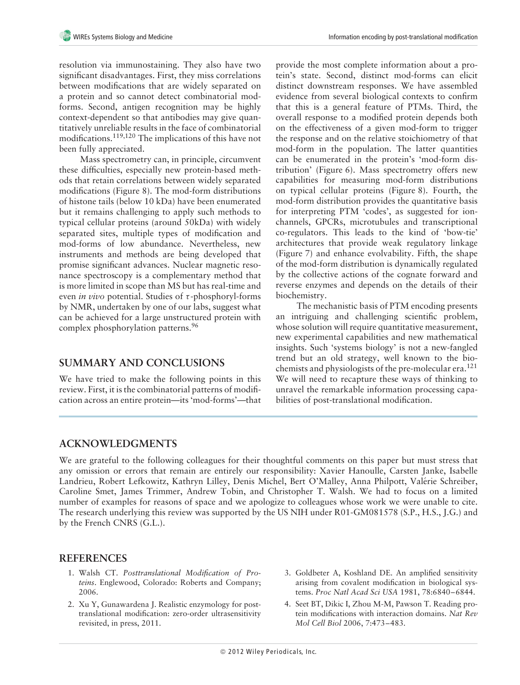resolution via immunostaining. They also have two significant disadvantages. First, they miss correlations between modifications that are widely separated on a protein and so cannot detect combinatorial modforms. Second, antigen recognition may be highly context-dependent so that antibodies may give quantitatively unreliable results in the face of combinatorial modifications.119,120 The implications of this have not been fully appreciated.

Mass spectrometry can, in principle, circumvent these difficulties, especially new protein-based methods that retain correlations between widely separated modifications (Figure 8). The mod-form distributions of histone tails (below 10 kDa) have been enumerated but it remains challenging to apply such methods to typical cellular proteins (around 50kDa) with widely separated sites, multiple types of modification and mod-forms of low abundance. Nevertheless, new instruments and methods are being developed that promise significant advances. Nuclear magnetic resonance spectroscopy is a complementary method that is more limited in scope than MS but has real-time and even *in vivo* potential. Studies of *τ* -phosphoryl-forms by NMR, undertaken by one of our labs, suggest what can be achieved for a large unstructured protein with complex phosphorylation patterns.<sup>96</sup>

# **SUMMARY AND CONCLUSIONS**

We have tried to make the following points in this review. First, it is the combinatorial patterns of modification across an entire protein—its 'mod-forms'—that provide the most complete information about a protein's state. Second, distinct mod-forms can elicit distinct downstream responses. We have assembled evidence from several biological contexts to confirm that this is a general feature of PTMs. Third, the overall response to a modified protein depends both on the effectiveness of a given mod-form to trigger the response and on the relative stoichiometry of that mod-form in the population. The latter quantities can be enumerated in the protein's 'mod-form distribution' (Figure 6). Mass spectrometry offers new capabilities for measuring mod-form distributions on typical cellular proteins (Figure 8). Fourth, the mod-form distribution provides the quantitative basis for interpreting PTM 'codes', as suggested for ionchannels, GPCRs, microtubules and transcriptional co-regulators. This leads to the kind of 'bow-tie' architectures that provide weak regulatory linkage (Figure 7) and enhance evolvability. Fifth, the shape of the mod-form distribution is dynamically regulated by the collective actions of the cognate forward and reverse enzymes and depends on the details of their biochemistry.

The mechanistic basis of PTM encoding presents an intriguing and challenging scientific problem, whose solution will require quantitative measurement, new experimental capabilities and new mathematical insights. Such 'systems biology' is not a new-fangled trend but an old strategy, well known to the biochemists and physiologists of the pre-molecular era.<sup>121</sup> We will need to recapture these ways of thinking to unravel the remarkable information processing capabilities of post-translational modification.

# **ACKNOWLEDGMENTS**

We are grateful to the following colleagues for their thoughtful comments on this paper but must stress that any omission or errors that remain are entirely our responsibility: Xavier Hanoulle, Carsten Janke, Isabelle Landrieu, Robert Lefkowitz, Kathryn Lilley, Denis Michel, Bert O'Malley, Anna Philpott, Valerie Schreiber, ´ Caroline Smet, James Trimmer, Andrew Tobin, and Christopher T. Walsh. We had to focus on a limited number of examples for reasons of space and we apologize to colleagues whose work we were unable to cite. The research underlying this review was supported by the US NIH under R01-GM081578 (S.P., H.S., J.G.) and by the French CNRS (G.L.).

# **REFERENCES**

- 1. Walsh CT. *Posttranslational Modification of Proteins*. Englewood, Colorado: Roberts and Company; 2006.
- 2. Xu Y, Gunawardena J. Realistic enzymology for posttranslational modification: zero-order ultrasensitivity revisited, in press, 2011.
- 3. Goldbeter A, Koshland DE. An amplified sensitivity arising from covalent modification in biological systems. *Proc Natl Acad Sci USA* 1981, 78:6840–6844.
- 4. Seet BT, Dikic I, Zhou M-M, Pawson T. Reading protein modifications with interaction domains. *Nat Rev Mol Cell Biol* 2006, 7:473–483.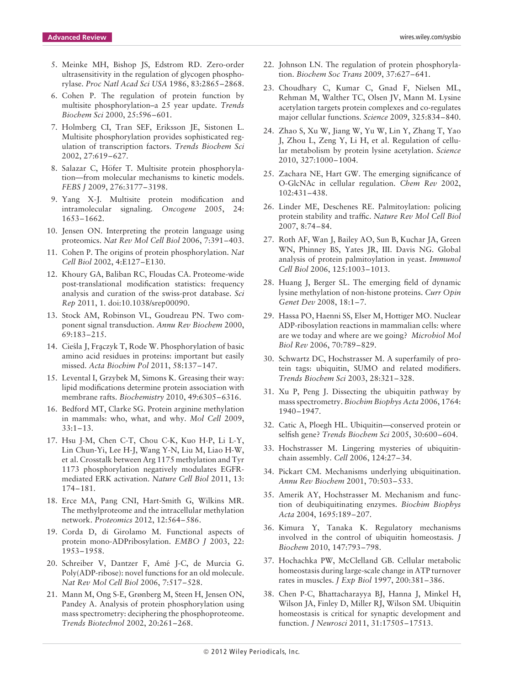- 5. Meinke MH, Bishop JS, Edstrom RD. Zero-order ultrasensitivity in the regulation of glycogen phosphorylase. *Proc Natl Acad Sci USA* 1986, 83:2865–2868.
- 6. Cohen P. The regulation of protein function by multisite phosphorylation–a 25 year update. *Trends Biochem Sci* 2000, 25:596–601.
- 7. Holmberg CI, Tran SEF, Eriksson JE, Sistonen L. Multisite phosphorylation provides sophisticated regulation of transcription factors. *Trends Biochem Sci* 2002, 27:619–627.
- 8. Salazar C, Höfer T. Multisite protein phosphorylation—from molecular mechanisms to kinetic models. *FEBS J* 2009, 276:3177–3198.
- 9. Yang X-J. Multisite protein modification and intramolecular signaling. *Oncogene* 2005, 24: 1653–1662.
- 10. Jensen ON. Interpreting the protein language using proteomics. *Nat Rev Mol Cell Biol* 2006, 7:391–403.
- 11. Cohen P. The origins of protein phosphorylation. *Nat Cell Biol* 2002, 4:E127–E130.
- 12. Khoury GA, Baliban RC, Floudas CA. Proteome-wide post-translational modification statistics: frequency analysis and curation of the swiss-prot database. *Sci Rep* 2011, 1. doi:10.1038/srep00090.
- 13. Stock AM, Robinson VL, Goudreau PN. Two component signal transduction. *Annu Rev Biochem* 2000, 69:183–215.
- 14. Cieśla J, Frączyk T, Rode W. Phosphorylation of basic amino acid residues in proteins: important but easily missed. *Acta Biochim Pol* 2011, 58:137–147.
- 15. Levental I, Grzybek M, Simons K. Greasing their way: lipid modifications determine protein association with membrane rafts. *Biochemistry* 2010, 49:6305–6316.
- 16. Bedford MT, Clarke SG. Protein arginine methylation in mammals: who, what, and why. *Mol Cell* 2009, 33:1–13.
- 17. Hsu J-M, Chen C-T, Chou C-K, Kuo H-P, Li L-Y, Lin Chun-Yi, Lee H-J, Wang Y-N, Liu M, Liao H-W, et al. Crosstalk between Arg 1175 methylation and Tyr 1173 phosphorylation negatively modulates EGFRmediated ERK activation. *Nature Cell Biol* 2011, 13: 174–181.
- 18. Erce MA, Pang CNI, Hart-Smith G, Wilkins MR. The methylproteome and the intracellular methylation network. *Proteomics* 2012, 12:564–586.
- 19. Corda D, di Girolamo M. Functional aspects of protein mono-ADPribosylation. *EMBO J* 2003, 22: 1953–1958.
- 20. Schreiber V, Dantzer F, Ame J-C, de Murcia G. ´ Poly(ADP-ribose): novel functions for an old molecule. *Nat Rev Mol Cell Biol* 2006, 7:517–528.
- 21. Mann M, Ong S-E, Grønberg M, Steen H, Jensen ON, Pandey A. Analysis of protein phosphorylation using mass spectrometry: deciphering the phosphoproteome. *Trends Biotechnol* 2002, 20:261–268.
- 22. Johnson LN. The regulation of protein phosphorylation. *Biochem Soc Trans* 2009, 37:627–641.
- 23. Choudhary C, Kumar C, Gnad F, Nielsen ML, Rehman M, Walther TC, Olsen JV, Mann M. Lysine acetylation targets protein complexes and co-regulates major cellular functions. *Science* 2009, 325:834–840.
- 24. Zhao S, Xu W, Jiang W, Yu W, Lin Y, Zhang T, Yao J, Zhou L, Zeng Y, Li H, et al. Regulation of cellular metabolism by protein lysine acetylation. *Science* 2010, 327:1000–1004.
- 25. Zachara NE, Hart GW. The emerging significance of O-GlcNAc in cellular regulation. *Chem Rev* 2002, 102:431–438.
- 26. Linder ME, Deschenes RE. Palmitoylation: policing protein stability and traffic. *Nature Rev Mol Cell Biol* 2007, 8:74–84.
- 27. Roth AF, Wan J, Bailey AO, Sun B, Kuchar JA, Green WN, Phinney BS, Yates JR, III. Davis NG. Global analysis of protein palmitoylation in yeast. *Immunol Cell Biol* 2006, 125:1003–1013.
- 28. Huang J, Berger SL. The emerging field of dynamic lysine methylation of non-histone proteins. *Curr Opin Genet Dev* 2008, 18:1–7.
- 29. Hassa PO, Haenni SS, Elser M, Hottiger MO. Nuclear ADP-ribosylation reactions in mammalian cells: where are we today and where are we going? *Microbiol Mol Biol Rev* 2006, 70:789–829.
- 30. Schwartz DC, Hochstrasser M. A superfamily of protein tags: ubiquitin, SUMO and related modifiers. *Trends Biochem Sci* 2003, 28:321–328.
- 31. Xu P, Peng J. Dissecting the ubiquitin pathway by mass spectrometry. *Biochim Biophys Acta* 2006, 1764: 1940–1947.
- 32. Catic A, Ploegh HL. Ubiquitin—conserved protein or selfish gene? *Trends Biochem Sci* 2005, 30:600–604.
- 33. Hochstrasser M. Lingering mysteries of ubiquitinchain assembly. *Cell* 2006, 124:27–34.
- 34. Pickart CM. Mechanisms underlying ubiquitination. *Annu Rev Biochem* 2001, 70:503–533.
- 35. Amerik AY, Hochstrasser M. Mechanism and function of deubiquitinating enzymes. *Biochim Biophys Acta* 2004, 1695:189–207.
- 36. Kimura Y, Tanaka K. Regulatory mechanisms involved in the control of ubiquitin homeostasis. *J Biochem* 2010, 147:793–798.
- 37. Hochachka PW, McClelland GB. Cellular metabolic homeostasis during large-scale change in ATP turnover rates in muscles. *J Exp Biol* 1997, 200:381–386.
- 38. Chen P-C, Bhattacharayya BJ, Hanna J, Minkel H, Wilson JA, Finley D, Miller RJ, Wilson SM. Ubiquitin homeostasis is critical for synaptic development and function. *J Neurosci* 2011, 31:17505–17513.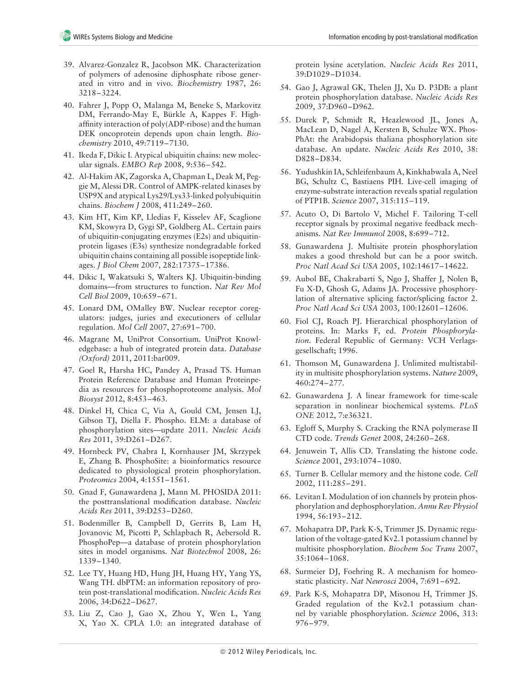- 39. Alvarez-Gonzalez R, Jacobson MK. Characterization of polymers of adenosine diphosphate ribose generated in vitro and in vivo. *Biochemistry* 1987, 26: 3218–3224.
- 40. Fahrer J, Popp O, Malanga M, Beneke S, Markovitz DM, Ferrando-May E, Bürkle A, Kappes F. Highaffinity interaction of poly(ADP-ribose) and the human DEK oncoprotein depends upon chain length. *Biochemistry* 2010, 49:7119–7130.
- 41. Ikeda F, Dikic I. Atypical ubiquitin chains: new molecular signals. *EMBO Rep* 2008, 9:536–542.
- 42. Al-Hakim AK, Zagorska A, Chapman L, Deak M, Peggie M, Alessi DR. Control of AMPK-related kinases by USP9X and atypical Lys29/Lys33-linked polyubiquitin chains. *Biochem J* 2008, 411:249–260.
- 43. Kim HT, Kim KP, Lledias F, Kisselev AF, Scaglione KM, Skowyra D, Gygi SP, Goldberg AL. Certain pairs of ubiquitin-conjugating enzymes (E2s) and ubiquitinprotein ligases (E3s) synthesize nondegradable forked ubiquitin chains containing all possible isopeptide linkages. *J Biol Chem* 2007, 282:17375–17386.
- 44. Dikic I, Wakatsuki S, Walters KJ. Ubiquitin-binding domains—from structures to function. *Nat Rev Mol Cell Biol* 2009, 10:659–671.
- 45. Lonard DM, OMalley BW. Nuclear receptor coregulators: judges, juries and executioners of cellular regulation. *Mol Cell* 2007, 27:691–700.
- 46. Magrane M, UniProt Consortium. UniProt Knowledgebase: a hub of integrated protein data. *Database (Oxford)* 2011, 2011:bar009.
- 47. Goel R, Harsha HC, Pandey A, Prasad TS. Human Protein Reference Database and Human Proteinpedia as resources for phosphoproteome analysis. *Mol Biosyst* 2012, 8:453–463.
- 48. Dinkel H, Chica C, Via A, Gould CM, Jensen LJ, Gibson TJ, Diella F. Phospho. ELM: a database of phosphorylation sites—update 2011. *Nucleic Acids Res* 2011, 39:D261–D267.
- 49. Hornbeck PV, Chabra I, Kornhauser JM, Skrzypek E, Zhang B. PhosphoSite: a bioinformatics resource dedicated to physiological protein phosphorylation. *Proteomics* 2004, 4:1551–1561.
- 50. Gnad F, Gunawardena J, Mann M. PHOSIDA 2011: the posttranslational modification database. *Nucleic Acids Res* 2011, 39:D253–D260.
- 51. Bodenmiller B, Campbell D, Gerrits B, Lam H, Jovanovic M, Picotti P, Schlapbach R, Aebersold R. PhosphoPep—a database of protein phosphorylation sites in model organisms. *Nat Biotechnol* 2008, 26: 1339–1340.
- 52. Lee TY, Huang HD, Hung JH, Huang HY, Yang YS, Wang TH. dbPTM: an information repository of protein post-translational modification. *Nucleic Acids Res* 2006, 34:D622–D627.
- 53. Liu Z, Cao J, Gao X, Zhou Y, Wen L, Yang X, Yao X. CPLA 1.0: an integrated database of

protein lysine acetylation. *Nucleic Acids Res* 2011, 39:D1029–D1034.

- 54. Gao J, Agrawal GK, Thelen JJ, Xu D. P3DB: a plant protein phosphorylation database. *Nucleic Acids Res* 2009, 37:D960–D962.
- 55. Durek P, Schmidt R, Heazlewood JL, Jones A, MacLean D, Nagel A, Kersten B, Schulze WX. Phos-PhAt: the Arabidopsis thaliana phosphorylation site database. An update. *Nucleic Acids Res* 2010, 38: D828–D834.
- 56. Yudushkin IA, Schleifenbaum A, Kinkhabwala A, Neel BG, Schultz C, Bastiaens PIH. Live-cell imaging of enzyme-substrate interaction reveals spatial regulation of PTP1B. *Science* 2007, 315:115–119.
- 57. Acuto O, Di Bartolo V, Michel F. Tailoring T-cell receptor signals by proximal negative feedback mechanisms. *Nat Rev Immunol* 2008, 8:699–712.
- 58. Gunawardena J. Multisite protein phosphorylation makes a good threshold but can be a poor switch. *Proc Natl Acad Sci USA* 2005, 102:14617–14622.
- 59. Aubol BE, Chakrabarti S, Ngo J, Shaffer J, Nolen B, Fu X-D, Ghosh G, Adams JA. Processive phosphorylation of alternative splicing factor/splicing factor 2. *Proc Natl Acad Sci USA* 2003, 100:12601–12606.
- 60. Fiol CJ, Roach PJ. Hierarchical phosphorylation of proteins. In: Marks F, ed. *Protein Phosphorylation*. Federal Republic of Germany: VCH Verlagsgesellschaft; 1996.
- 61. Thomson M, Gunawardena J. Unlimited multistability in multisite phosphorylation systems. *Nature* 2009, 460:274–277.
- 62. Gunawardena J. A linear framework for time-scale separation in nonlinear biochemical systems. *PLoS ONE* 2012, 7:e36321.
- 63. Egloff S, Murphy S. Cracking the RNA polymerase II CTD code. *Trends Genet* 2008, 24:260–268.
- 64. Jenuwein T, Allis CD. Translating the histone code. *Science* 2001, 293:1074–1080.
- 65. Turner B. Cellular memory and the histone code. *Cell* 2002, 111:285–291.
- 66. Levitan I. Modulation of ion channels by protein phosphorylation and dephosphorylation. *Annu Rev Physiol* 1994, 56:193–212.
- 67. Mohapatra DP, Park K-S, Trimmer JS. Dynamic regulation of the voltage-gated Kv2.1 potassium channel by multisite phosphorylation. *Biochem Soc Trans* 2007, 35:1064–1068.
- 68. Surmeier DJ, Foehring R. A mechanism for homeostatic plasticity. *Nat Neurosci* 2004, 7:691–692.
- 69. Park K-S, Mohapatra DP, Misonou H, Trimmer JS. Graded regulation of the Kv2.1 potassium channel by variable phosphorylation. *Science* 2006, 313: 976–979.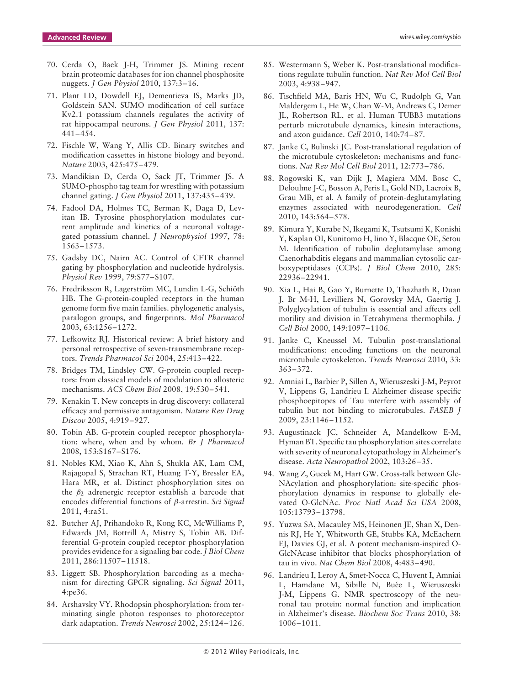- 70. Cerda O, Baek J-H, Trimmer JS. Mining recent brain proteomic databases for ion channel phosphosite nuggets. *J Gen Physiol* 2010, 137:3–16.
- 71. Plant LD, Dowdell EJ, Dementieva IS, Marks JD, Goldstein SAN. SUMO modification of cell surface Kv2.1 potassium channels regulates the activity of rat hippocampal neurons. *J Gen Physiol* 2011, 137: 441–454.
- 72. Fischle W, Wang Y, Allis CD. Binary switches and modification cassettes in histone biology and beyond. *Nature* 2003, 425:475–479.
- 73. Mandikian D, Cerda O, Sack JT, Trimmer JS. A SUMO-phospho tag team for wrestling with potassium channel gating. *J Gen Physiol* 2011, 137:435–439.
- 74. Fadool DA, Holmes TC, Berman K, Daga D, Levitan IB. Tyrosine phosphorylation modulates current amplitude and kinetics of a neuronal voltagegated potassium channel. *J Neurophysiol* 1997, 78: 1563–1573.
- 75. Gadsby DC, Nairn AC. Control of CFTR channel gating by phosphorylation and nucleotide hydrolysis. *Physiol Rev* 1999, 79:S77–S107.
- 76. Fredriksson R, Lagerström MC, Lundin L-G, Schiöth HB. The G-protein-coupled receptors in the human genome form five main families. phylogenetic analysis, paralogon groups, and fingerprints. *Mol Pharmacol* 2003, 63:1256–1272.
- 77. Lefkowitz RJ. Historical review: A brief history and personal retrospective of seven-transmembrane receptors. *Trends Pharmacol Sci* 2004, 25:413–422.
- 78. Bridges TM, Lindsley CW. G-protein coupled receptors: from classical models of modulation to allosteric mechanisms. *ACS Chem Biol* 2008, 19:530–541.
- 79. Kenakin T. New concepts in drug discovery: collateral efficacy and permissive antagonism. *Nature Rev Drug Discov* 2005, 4:919–927.
- 80. Tobin AB. G-protein coupled receptor phosphorylation: where, when and by whom. *Br J Pharmacol* 2008, 153:S167–S176.
- 81. Nobles KM, Xiao K, Ahn S, Shukla AK, Lam CM, Rajagopal S, Strachan RT, Huang T-Y, Bressler EA, Hara MR, et al. Distinct phosphorylation sites on the *β*<sup>2</sup> adrenergic receptor establish a barcode that encodes differential functions of *β*-arrestin. *Sci Signal* 2011, 4:ra51.
- 82. Butcher AJ, Prihandoko R, Kong KC, McWilliams P, Edwards JM, Bottrill A, Mistry S, Tobin AB. Differential G-protein coupled receptor phosphorylation provides evidence for a signaling bar code. *J Biol Chem* 2011, 286:11507–11518.
- 83. Liggett SB. Phosphorylation barcoding as a mechanism for directing GPCR signaling. *Sci Signal* 2011, 4:pe36.
- 84. Arshavsky VY. Rhodopsin phosphorylation: from terminating single photon responses to photoreceptor dark adaptation. *Trends Neurosci* 2002, 25:124–126.
- 85. Westermann S, Weber K. Post-translational modifications regulate tubulin function. *Nat Rev Mol Cell Biol* 2003, 4:938–947.
- 86. Tischfield MA, Baris HN, Wu C, Rudolph G, Van Maldergem L, He W, Chan W-M, Andrews C, Demer JL, Robertson RL, et al. Human TUBB3 mutations perturb microtubule dynamics, kinesin interactions, and axon guidance. *Cell* 2010, 140:74–87.
- 87. Janke C, Bulinski JC. Post-translational regulation of the microtubule cytoskeleton: mechanisms and functions. *Nat Rev Mol Cell Biol* 2011, 12:773–786.
- 88. Rogowski K, van Dijk J, Magiera MM, Bosc C, Deloulme J-C, Bosson A, Peris L, Gold ND, Lacroix B, Grau MB, et al. A family of protein-deglutamylating enzymes associated with neurodegeneration. *Cell* 2010, 143:564–578.
- 89. Kimura Y, Kurabe N, Ikegami K, Tsutsumi K, Konishi Y, Kaplan OI, Kunitomo H, Iino Y, Blacque OE, Setou M. Identification of tubulin deglutamylase among Caenorhabditis elegans and mammalian cytosolic carboxypeptidases (CCPs). *J Biol Chem* 2010, 285: 22936–22941.
- 90. Xia L, Hai B, Gao Y, Burnette D, Thazhath R, Duan J, Br M-H, Levilliers N, Gorovsky MA, Gaertig J. Polyglycylation of tubulin is essential and affects cell motility and division in Tetrahymena thermophila. *J Cell Biol* 2000, 149:1097–1106.
- 91. Janke C, Kneussel M. Tubulin post-translational modifications: encoding functions on the neuronal microtubule cytoskeleton. *Trends Neurosci* 2010, 33: 363–372.
- 92. Amniai L, Barbier P, Sillen A, Wieruszeski J-M, Peyrot V, Lippens G, Landrieu I. Alzheimer disease specific phosphoepitopes of Tau interfere with assembly of tubulin but not binding to microtubules. *FASEB J* 2009, 23:1146–1152.
- 93. Augustinack JC, Schneider A, Mandelkow E-M, Hyman BT. Specific tau phosphorylation sites correlate with severity of neuronal cytopathology in Alzheimer's disease. *Acta Neuropathol* 2002, 103:26–35.
- 94. Wang Z, Gucek M, Hart GW. Cross-talk between Glc-NAcylation and phosphorylation: site-specific phosphorylation dynamics in response to globally elevated O-GlcNAc. *Proc Natl Acad Sci USA* 2008, 105:13793–13798.
- 95. Yuzwa SA, Macauley MS, Heinonen JE, Shan X, Dennis RJ, He Y, Whitworth GE, Stubbs KA, McEachern EJ, Davies GJ, et al. A potent mechanism-inspired O-GlcNAcase inhibitor that blocks phosphorylation of tau in vivo. *Nat Chem Biol* 2008, 4:483–490.
- 96. Landrieu I, Leroy A, Smet-Nocca C, Huvent I, Amniai L, Hamdane M, Sibille N, Buée L, Wieruszeski J-M, Lippens G. NMR spectroscopy of the neuronal tau protein: normal function and implication in Alzheimer's disease. *Biochem Soc Trans* 2010, 38: 1006–1011.